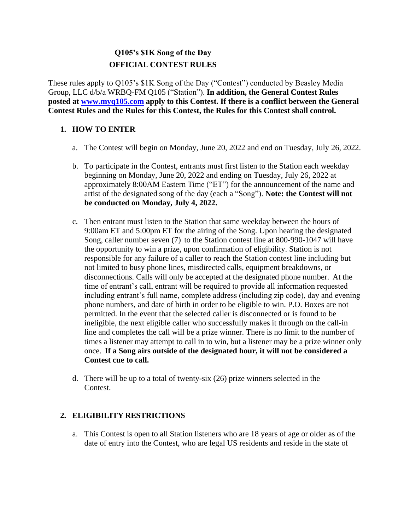# **Q105's \$1K Song of the Day OFFICIAL CONTEST RULES**

These rules apply to Q105's \$1K Song of the Day ("Contest") conducted by Beasley Media Group, LLC d/b/a WRBQ-FM Q105 ("Station"). **In addition, the General Contest Rules posted at [www.myq105.com](http://www.myq105.com/) apply to this Contest. If there is a conflict between the General Contest Rules and the Rules for this Contest, the Rules for this Contest shall control.**

## **1. HOW TO ENTER**

- a. The Contest will begin on Monday, June 20, 2022 and end on Tuesday, July 26, 2022.
- b. To participate in the Contest, entrants must first listen to the Station each weekday beginning on Monday, June 20, 2022 and ending on Tuesday, July 26, 2022 at approximately 8:00AM Eastern Time ("ET") for the announcement of the name and artist of the designated song of the day (each a "Song"). **Note: the Contest will not be conducted on Monday, July 4, 2022.**
- c. Then entrant must listen to the Station that same weekday between the hours of 9:00am ET and 5:00pm ET for the airing of the Song. Upon hearing the designated Song, caller number seven (7) to the Station contest line at 800-990-1047 will have the opportunity to win a prize, upon confirmation of eligibility. Station is not responsible for any failure of a caller to reach the Station contest line including but not limited to busy phone lines, misdirected calls, equipment breakdowns, or disconnections. Calls will only be accepted at the designated phone number. At the time of entrant's call, entrant will be required to provide all information requested including entrant's full name, complete address (including zip code), day and evening phone numbers, and date of birth in order to be eligible to win. P.O. Boxes are not permitted. In the event that the selected caller is disconnected or is found to be ineligible, the next eligible caller who successfully makes it through on the call-in line and completes the call will be a prize winner. There is no limit to the number of times a listener may attempt to call in to win, but a listener may be a prize winner only once. **If a Song airs outside of the designated hour, it will not be considered a Contest cue to call.**
- d. There will be up to a total of twenty-six (26) prize winners selected in the Contest.

## **2. ELIGIBILITY RESTRICTIONS**

a. This Contest is open to all Station listeners who are 18 years of age or older as of the date of entry into the Contest, who are legal US residents and reside in the state of